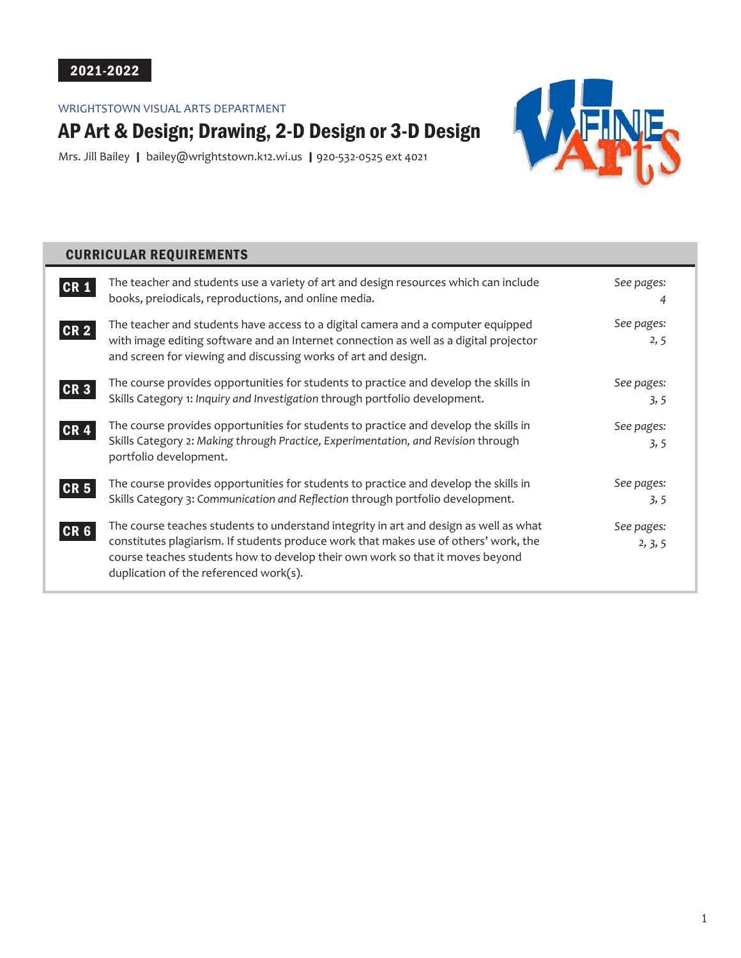# 2021-2022

# WRIGHTSTOWN VISUAL ARTS DEPARTMENT

# AP Art & Design; Drawing, 2-D Design or 3-D Design

Mrs. Jill Bailey | bailey@wrightstown.k12.wi.us | 920-532-0525 ext 4021



# CURRICULAR REQUIREMENTS

| <b>CR1</b>      | The teacher and students use a variety of art and design resources which can include<br>books, preiodicals, reproductions, and online media.                                                                                                                                                             | See pages:            |
|-----------------|----------------------------------------------------------------------------------------------------------------------------------------------------------------------------------------------------------------------------------------------------------------------------------------------------------|-----------------------|
| <b>CR2</b>      | The teacher and students have access to a digital camera and a computer equipped<br>with image editing software and an Internet connection as well as a digital projector<br>and screen for viewing and discussing works of art and design.                                                              | See pages:<br>2, 5    |
| CR <sub>3</sub> | The course provides opportunities for students to practice and develop the skills in<br>Skills Category 1: Inquiry and Investigation through portfolio development.                                                                                                                                      | See pages:<br>3, 5    |
| <b>CR4</b>      | The course provides opportunities for students to practice and develop the skills in<br>Skills Category 2: Making through Practice, Experimentation, and Revision through<br>portfolio development.                                                                                                      | See pages:<br>3, 5    |
| <b>CR 5</b>     | The course provides opportunities for students to practice and develop the skills in<br>Skills Category 3: Communication and Reflection through portfolio development.                                                                                                                                   | See pages:<br>3, 5    |
| CR <sub>6</sub> | The course teaches students to understand integrity in art and design as well as what<br>constitutes plagiarism. If students produce work that makes use of others' work, the<br>course teaches students how to develop their own work so that it moves beyond<br>duplication of the referenced work(s). | See pages:<br>2, 3, 5 |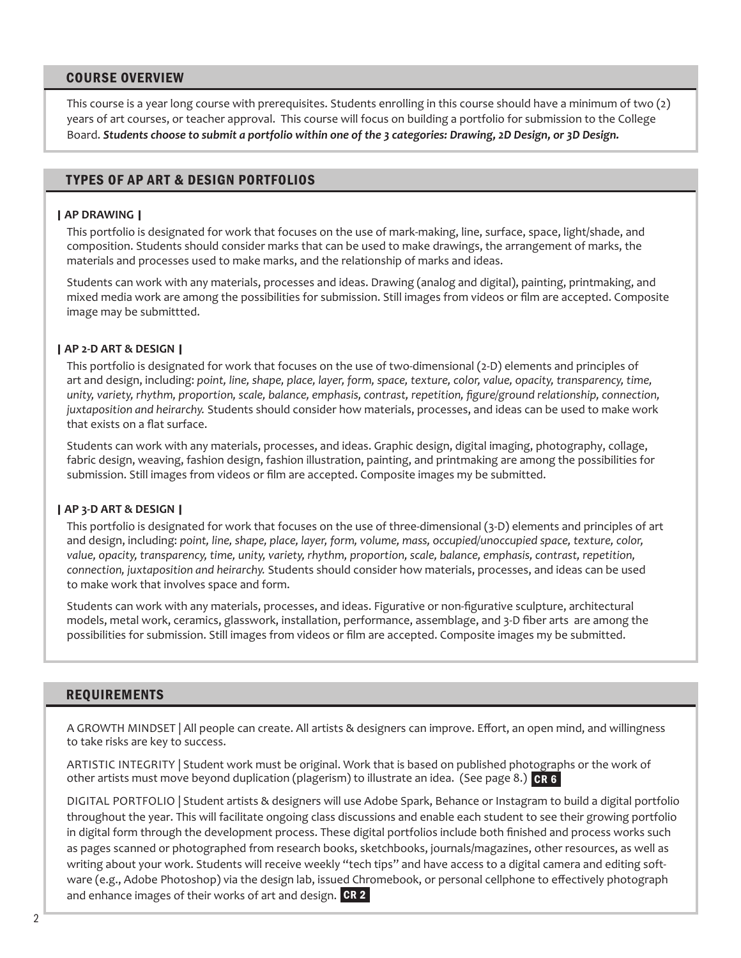### COURSE OVERVIEW

This course is a year long course with prerequisites. Students enrolling in this course should have a minimum of two (2) years of art courses, or teacher approval. This course will focus on building a portfolio for submission to the College Board. *Students choose to submit a portfolio within one of the 3 categories: Drawing, 2D Design, or 3D Design.*

# TYPES OF AP ART & DESIGN PORTFOLIOS

#### | **AP DRAWING** |

This portfolio is designated for work that focuses on the use of mark-making, line, surface, space, light/shade, and composition. Students should consider marks that can be used to make drawings, the arrangement of marks, the materials and processes used to make marks, and the relationship of marks and ideas.

Students can work with any materials, processes and ideas. Drawing (analog and digital), painting, printmaking, and mixed media work are among the possibilities for submission. Still images from videos or film are accepted. Composite image may be submittted.

#### | **AP 2-D ART & DESIGN** |

This portfolio is designated for work that focuses on the use of two-dimensional (2-D) elements and principles of art and design, including: *point, line, shape, place, layer, form, space, texture, color, value, opacity, transparency, time, unity, variety, rhythm, proportion, scale, balance, emphasis, contrast, repetition, figure/ground relationship, connection, juxtaposition and heirarchy.* Students should consider how materials, processes, and ideas can be used to make work that exists on a flat surface.

Students can work with any materials, processes, and ideas. Graphic design, digital imaging, photography, collage, fabric design, weaving, fashion design, fashion illustration, painting, and printmaking are among the possibilities for submission. Still images from videos or film are accepted. Composite images my be submitted.

#### | **AP 3-D ART & DESIGN** |

This portfolio is designated for work that focuses on the use of three-dimensional (3-D) elements and principles of art and design, including: *point, line, shape, place, layer, form, volume, mass, occupied/unoccupied space, texture, color, value, opacity, transparency, time, unity, variety, rhythm, proportion, scale, balance, emphasis, contrast, repetition, connection, juxtaposition and heirarchy.* Students should consider how materials, processes, and ideas can be used to make work that involves space and form.

Students can work with any materials, processes, and ideas. Figurative or non-figurative sculpture, architectural models, metal work, ceramics, glasswork, installation, performance, assemblage, and 3-D fiber arts are among the possibilities for submission. Still images from videos or film are accepted. Composite images my be submitted.

# REQUIREMENTS

A GROWTH MINDSET | All people can create. All artists & designers can improve. Effort, an open mind, and willingness to take risks are key to success.

ARTISTIC INTEGRITY | Student work must be original. Work that is based on published photographs or the work of other artists must move beyond duplication (plagerism) to illustrate an idea. (See page 8.) <mark>CR 6</mark>

DIGITAL PORTFOLIO | Student artists & designers will use Adobe Spark, Behance or Instagram to build a digital portfolio throughout the year. This will facilitate ongoing class discussions and enable each student to see their growing portfolio in digital form through the development process. These digital portfolios include both finished and process works such as pages scanned or photographed from research books, sketchbooks, journals/magazines, other resources, as well as writing about your work. Students will receive weekly "tech tips" and have access to a digital camera and editing software (e.g., Adobe Photoshop) via the design lab, issued Chromebook, or personal cellphone to effectively photograph and enhance images of their works of art and design. CR 2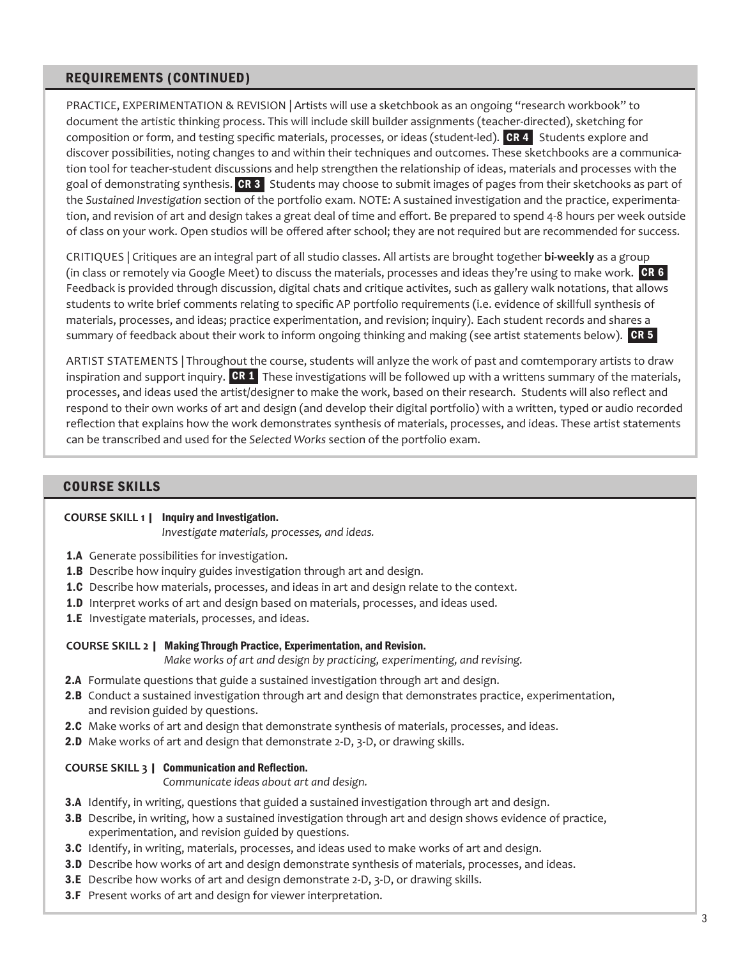# REQUIREMENTS (CONTINUED)

PRACTICE, EXPERIMENTATION & REVISION | Artists will use a sketchbook as an ongoing "research workbook" to document the artistic thinking process. This will include skill builder assignments (teacher-directed), sketching for composition or form, and testing specific materials, processes, or ideas (student-led).  $CR 4$  Students explore and discover possibilities, noting changes to and within their techniques and outcomes. These sketchbooks are a communication tool for teacher-student discussions and help strengthen the relationship of ideas, materials and processes with the goal of demonstrating synthesis. CR 3 Students may choose to submit images of pages from their sketchooks as part of the *Sustained Investigation* section of the portfolio exam. NOTE: A sustained investigation and the practice, experimentation, and revision of art and design takes a great deal of time and effort. Be prepared to spend 4-8 hours per week outside of class on your work. Open studios will be offered after school; they are not required but are recommended for success.

CRITIQUES | Critiques are an integral part of all studio classes. All artists are brought together **bi-weekly** as a group (in class or remotely via Google Meet) to discuss the materials, processes and ideas they're using to make work. **CR 6** Feedback is provided through discussion, digital chats and critique activites, such as gallery walk notations, that allows students to write brief comments relating to specific AP portfolio requirements (i.e. evidence of skillfull synthesis of materials, processes, and ideas; practice experimentation, and revision; inquiry). Each student records and shares a summary of feedback about their work to inform ongoing thinking and making (see artist statements below).  $\,$  CR 5  $\,$ 

ARTIST STATEMENTS | Throughout the course, students will anlyze the work of past and comtemporary artists to draw inspiration and support inquiry.  $CR 1$  These investigations will be followed up with a writtens summary of the materials, processes, and ideas used the artist/designer to make the work, based on their research. Students will also reflect and respond to their own works of art and design (and develop their digital portfolio) with a written, typed or audio recorded reflection that explains how the work demonstrates synthesis of materials, processes, and ideas. These artist statements can be transcribed and used for the *Selected Works* section of the portfolio exam.

# COURSE SKILLS

#### **COURSE SKILL 1** | Inquiry and Investigation.

*Investigate materials, processes, and ideas.*

- 1.A Generate possibilities for investigation.
- 1.B Describe how inquiry guides investigation through art and design.
- **1.C** Describe how materials, processes, and ideas in art and design relate to the context.
- 1.D Interpret works of art and design based on materials, processes, and ideas used.
- 1.E Investigate materials, processes, and ideas.

#### **COURSE SKILL 2** | Making Through Practice, Experimentation, and Revision.

*Make works of art and design by practicing, experimenting, and revising.*

- 2.A Formulate questions that guide a sustained investigation through art and design.
- 2.B Conduct a sustained investigation through art and design that demonstrates practice, experimentation, and revision guided by questions.
- 2.C Make works of art and design that demonstrate synthesis of materials, processes, and ideas.
- 2.D Make works of art and design that demonstrate 2-D, 3-D, or drawing skills.

#### **COURSE SKILL 3** | Communication and Reflection.

*Communicate ideas about art and design.*

- 3.A Identify, in writing, questions that guided a sustained investigation through art and design.
- 3.B Describe, in writing, how a sustained investigation through art and design shows evidence of practice, experimentation, and revision guided by questions.
- 3.C Identify, in writing, materials, processes, and ideas used to make works of art and design.
- 3.D Describe how works of art and design demonstrate synthesis of materials, processes, and ideas.
- 3.E Describe how works of art and design demonstrate 2-D, 3-D, or drawing skills.
- **3.F** Present works of art and design for viewer interpretation.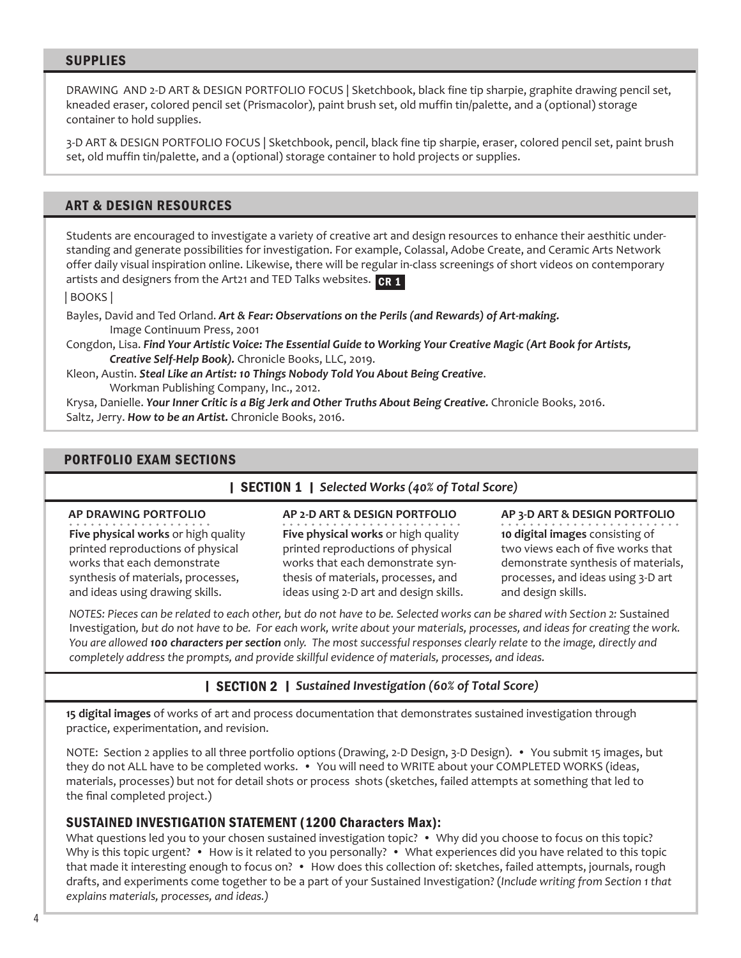# SUPPLIES

DRAWING AND 2-D ART & DESIGN PORTFOLIO FOCUS | Sketchbook, black fine tip sharpie, graphite drawing pencil set, kneaded eraser, colored pencil set (Prismacolor), paint brush set, old muffin tin/palette, and a (optional) storage container to hold supplies.

3-D ART & DESIGN PORTFOLIO FOCUS | Sketchbook, pencil, black fine tip sharpie, eraser, colored pencil set, paint brush set, old muffin tin/palette, and a (optional) storage container to hold projects or supplies.

# ART & DESIGN RESOURCES

Students are encouraged to investigate a variety of creative art and design resources to enhance their aesthitic understanding and generate possibilities for investigation. For example, Colassal, Adobe Create, and Ceramic Arts Network offer daily visual inspiration online. Likewise, there will be regular in-class screenings of short videos on contemporary artists and designers from the Art21 and TED Talks websites. CR 1

| BOOKS |

Bayles, David and Ted Orland. *Art & Fear: Observations on the Perils (and Rewards) of Art-making.*  Image Continuum Press, 2001

Congdon, Lisa. *Find Your Artistic Voice: The Essential Guide to Working Your Creative Magic (Art Book for Artists, Creative Self-Help Book).* Chronicle Books, LLC, 2019.

Kleon, Austin. *Steal Like an Artist: 10 Things Nobody Told You About Being Creative*. Workman Publishing Company, Inc., 2012.

Krysa, Danielle. Your Inner Critic is a Big Jerk and Other Truths About Being Creative. Chronicle Books, 2016. Saltz, Jerry. *How to be an Artist.* Chronicle Books, 2016.

# PORTFOLIO EXAM SECTIONS

### |SECTION 1 | *Selected Works (40% of Total Score)*

#### **AP DRAWING PORTFOLIO**

**Five physical works** or high quality printed reproductions of physical works that each demonstrate synthesis of materials, processes, and ideas using drawing skills.

**AP 2-D ART & DESIGN PORTFOLIO Five physical works** or high quality printed reproductions of physical works that each demonstrate synthesis of materials, processes, and ideas using 2-D art and design skills. **AP 3-D ART & DESIGN PORTFOLIO**

**10 digital images** consisting of two views each of five works that demonstrate synthesis of materials, processes, and ideas using 3-D art and design skills.

*NOTES: Pieces can be related to each other, but do not have to be. Selected works can be shared with Section 2:* Sustained Investigation*, but do not have to be. For each work, write about your materials, processes, and ideas for creating the work. You are allowed 100 characters per section only. The most successful responses clearly relate to the image, directly and completely address the prompts, and provide skillful evidence of materials, processes, and ideas.* 

# |SECTION 2 | *Sustained Investigation (60% of Total Score)*

**15 digital images** of works of art and process documentation that demonstrates sustained investigation through practice, experimentation, and revision.

NOTE: Section 2 applies to all three portfolio options (Drawing, 2-D Design, 3-D Design). • You submit 15 images, but they do not ALL have to be completed works. • You will need to WRITE about your COMPLETED WORKS (ideas, materials, processes) but not for detail shots or process shots (sketches, failed attempts at something that led to the final completed project.)

# SUSTAINED INVESTIGATION STATEMENT (1200 Characters Max):

What questions led you to your chosen sustained investigation topic? • Why did you choose to focus on this topic? Why is this topic urgent? • How is it related to you personally? • What experiences did you have related to this topic that made it interesting enough to focus on? • How does this collection of: sketches, failed attempts, journals, rough drafts, and experiments come together to be a part of your Sustained Investigation? (*Include writing from Section 1 that explains materials, processes, and ideas.)*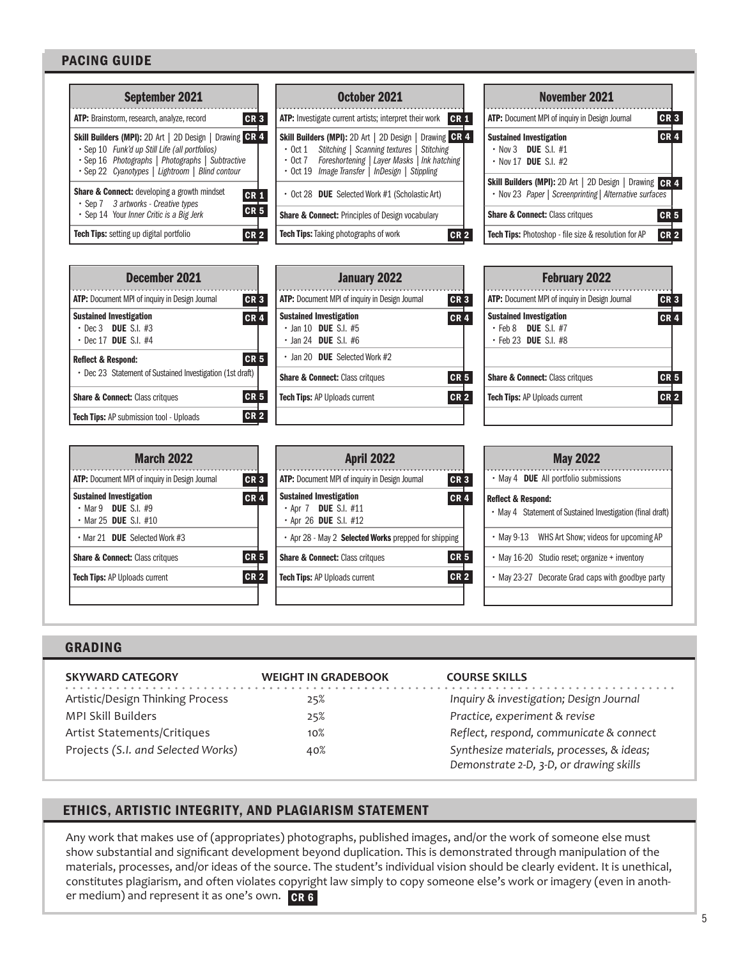# PACING GUIDE

| <b>September 2021</b>                                                                                                                                                                                            | October 2021                                                                                                                                                                                                                                              | <b>November 2021</b>                                                                                              |  |  |
|------------------------------------------------------------------------------------------------------------------------------------------------------------------------------------------------------------------|-----------------------------------------------------------------------------------------------------------------------------------------------------------------------------------------------------------------------------------------------------------|-------------------------------------------------------------------------------------------------------------------|--|--|
| ATP: Brainstorm, research, analyze, record                                                                                                                                                                       | CR <sub>3</sub><br><b>ATP:</b> Investigate current artists; interpret their work <b>CR 1</b>                                                                                                                                                              | CR3<br>ATP: Document MPI of inquiry in Design Journal                                                             |  |  |
| Skill Builders (MPI): 2D Art   2D Design   Drawing CR 4<br>· Sep 10 Funk'd up Still Life (all portfolios)<br>· Sep 16 Photographs   Photographs   Subtractive<br>• Sep 22 Cyanotypes   Lightroom   Blind contour | Drawing CR 4<br><b>Skill Builders (MPI): 2D Art   2D Design  </b><br>Stitching   Scanning textures<br><b>Stitching</b><br>$\cdot$ Oct 1<br>Foreshortening   Layer Masks   Ink hatching<br>$\cdot$ 0ct 7<br>• Oct 19 Image Transfer   InDesign   Stippling | <b>CR4</b><br><b>Sustained Investigation</b><br>$\cdot$ Nov 3 DUE S.I. #1<br>$\cdot$ Nov 17 DUE S.I. #2           |  |  |
| Share & Connect: developing a growth mindset<br>• Sep 7 3 artworks - Creative types                                                                                                                              | • Oct 28 DUE Selected Work #1 (Scholastic Art)<br><b>CR1</b>                                                                                                                                                                                              | Skill Builders (MPI): 2D Art   2D Design   Drawing CR 4<br>• Nov 23 Paper   Screenprinting   Alternative surfaces |  |  |
| · Sep 14 Your Inner Critic is a Big Jerk                                                                                                                                                                         | CR <sub>5</sub><br><b>Share &amp; Connect: Principles of Design vocabulary</b>                                                                                                                                                                            | <b>Share &amp; Connect: Class critques</b><br>CR <sub>5</sub>                                                     |  |  |
| Tech Tips: setting up digital portfolio                                                                                                                                                                          | <b>Tech Tips:</b> Taking photographs of work<br><b>CR 2</b><br>CR <sub>2</sub>                                                                                                                                                                            | Tech Tips: Photoshop - file size & resolution for AP<br>CR <sub>2</sub>                                           |  |  |
|                                                                                                                                                                                                                  |                                                                                                                                                                                                                                                           |                                                                                                                   |  |  |
| <b>December 2021</b>                                                                                                                                                                                             | <b>January 2022</b>                                                                                                                                                                                                                                       | <b>February 2022</b>                                                                                              |  |  |
| ATP: Document MPI of inquiry in Design Journal                                                                                                                                                                   | CR <sub>3</sub><br>ATP: Document MPI of inquiry in Design Journal<br>CR <sub>3</sub>                                                                                                                                                                      | ATP: Document MPI of inquiry in Design Journal<br>CR <sub>3</sub>                                                 |  |  |
| <b>Sustained Investigation</b><br>$\cdot$ Dec 3 DUE S.I. #3<br>$\cdot$ Dec 17 DUE S.I. #4                                                                                                                        | <b>Sustained Investigation</b><br>CR <sub>4</sub><br>CR <sub>4</sub><br>$\cdot$ Jan 10 DUE S.I. #5<br>$\cdot$ Jan 24 DUE S.I. #6                                                                                                                          | <b>Sustained Investigation</b><br><b>CR4</b><br>$\cdot$ Feb 8 DUE S.I. #7<br>$\cdot$ Feb 23 DUE S.I. #8           |  |  |
| <b>Reflect &amp; Respond:</b>                                                                                                                                                                                    | · Jan 20 DUE Selected Work #2<br><b>CR 5</b>                                                                                                                                                                                                              |                                                                                                                   |  |  |
| • Dec 23 Statement of Sustained Investigation (1st draft)                                                                                                                                                        | CR <sub>5</sub><br><b>Share &amp; Connect: Class critques</b>                                                                                                                                                                                             | <b>CR 5</b><br><b>Share &amp; Connect: Class critques</b>                                                         |  |  |
| <b>Share &amp; Connect: Class critques</b>                                                                                                                                                                       | CR <sub>5</sub><br><b>CR 2</b><br><b>Tech Tips: AP Uploads current</b>                                                                                                                                                                                    | <b>CR 2</b><br><b>Tech Tips: AP Uploads current</b>                                                               |  |  |
| Tech Tips: AP submission tool - Uploads                                                                                                                                                                          | CR <sub>2</sub>                                                                                                                                                                                                                                           |                                                                                                                   |  |  |
|                                                                                                                                                                                                                  |                                                                                                                                                                                                                                                           |                                                                                                                   |  |  |
| <b>March 2022</b>                                                                                                                                                                                                | <b>April 2022</b>                                                                                                                                                                                                                                         | <b>May 2022</b>                                                                                                   |  |  |
| ATP: Document MPI of inquiry in Design Journal                                                                                                                                                                   | ATP: Document MPI of inquiry in Design Journal<br>CR <sub>3</sub><br>CR <sub>3</sub>                                                                                                                                                                      | • May 4 <b>DUE</b> All portfolio submissions                                                                      |  |  |
| <b>Sustained Investigation</b><br>$\cdot$ Mar 9 DUE S.I. #9                                                                                                                                                      | <b>Sustained Investigation</b><br>CR <sub>4</sub><br><b>CR4</b><br>$\cdot$ Apr 7 DUE S.I. #11                                                                                                                                                             | <b>Reflect &amp; Respond:</b><br>May A. Clatement of Customer Hausettestics (final duck)                          |  |  |

| <b>March 2022</b>                                                                                                             | <b>April 2022</b>                                                                                                                                                                           |
|-------------------------------------------------------------------------------------------------------------------------------|---------------------------------------------------------------------------------------------------------------------------------------------------------------------------------------------|
| <b>ATP:</b> Document MPI of inquiry in Design Journal                                                                         | CR <sub>3</sub><br><b>ATP:</b> Document MPI of inquiry in Design Journal<br>CR <sub>3</sub>                                                                                                 |
| <b>Sustained Investigation</b><br>$\cdot$ Mar 9 DUE S.I. #9<br>• Mar 25 DUE S.I. $#10$<br>$\cdot$ Mar 21 DUE Selected Work #3 | <b>CR4</b><br><b>Sustained Investigation</b><br>CR <sub>4</sub><br>$\cdot$ Apr 7 DUE S.I. #11<br>$\cdot$ Apr 26 DUE S.I. #12<br>• Apr 28 - May 2 <b>Selected Works</b> prepped for shipping |
| <b>Share &amp; Connect: Class critques</b>                                                                                    | <b>CR 5</b><br><b>CR5</b><br><b>Share &amp; Connect: Class critques</b>                                                                                                                     |
| <b>Tech Tips: AP Uploads current</b>                                                                                          | <b>CR 2</b><br><b>CR2</b><br><b>Tech Tips: AP Uploads current</b>                                                                                                                           |

| <b>May 2022</b>                                                                             |                                                   |  |  |
|---------------------------------------------------------------------------------------------|---------------------------------------------------|--|--|
|                                                                                             | • May 4 DUE All portfolio submissions             |  |  |
| <b>Reflect &amp; Respond:</b><br>• May 4 Statement of Sustained Investigation (final draft) |                                                   |  |  |
|                                                                                             | • May 9-13 WHS Art Show; videos for upcoming AP   |  |  |
|                                                                                             | • May 16-20 Studio reset; organize + inventory    |  |  |
|                                                                                             | • May 23-27 Decorate Grad caps with goodbye party |  |  |
|                                                                                             |                                                   |  |  |

# GRADING

| <b>SKYWARD CATEGORY</b>            | <b>WEIGHT IN GRADEBOOK</b> | <b>COURSE SKILLS</b>                      |
|------------------------------------|----------------------------|-------------------------------------------|
| Artistic/Design Thinking Process   | 25%                        | Inquiry & investigation; Design Journal   |
| MPI Skill Builders                 | 25%                        | Practice, experiment & revise             |
| Artist Statements/Critiques        | 10%                        | Reflect, respond, communicate & connect   |
| Projects (S.I. and Selected Works) | 40%                        | Synthesize materials, processes, & ideas; |
|                                    |                            | Demonstrate 2-D, 3-D, or drawing skills   |

# ETHICS, ARTISTIC INTEGRITY, AND PLAGIARISM STATEMENT

Any work that makes use of (appropriates) photographs, published images, and/or the work of someone else must show substantial and significant development beyond duplication. This is demonstrated through manipulation of the materials, processes, and/or ideas of the source. The student's individual vision should be clearly evident. It is unethical, constitutes plagiarism, and often violates copyright law simply to copy someone else's work or imagery (even in another medium) and represent it as one's own.